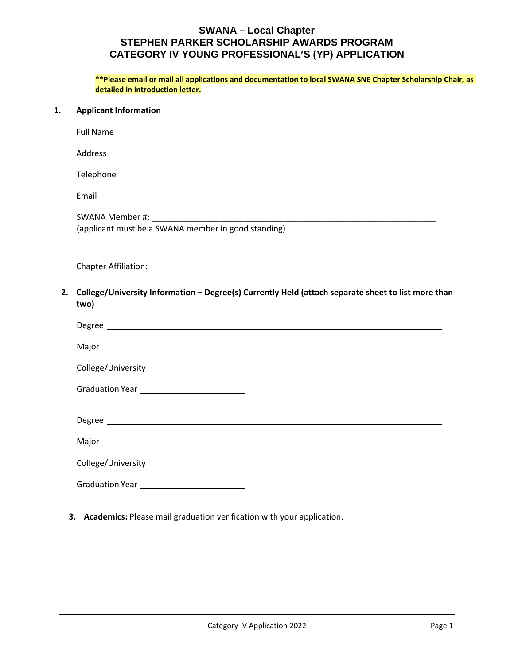|    | ** Please email or mail all applications and documentation to local SWANA SNE Chapter Scholarship Chair, as<br>detailed in introduction letter. |
|----|-------------------------------------------------------------------------------------------------------------------------------------------------|
| 1. | <b>Applicant Information</b>                                                                                                                    |
|    | <b>Full Name</b>                                                                                                                                |
|    | Address                                                                                                                                         |
|    | Telephone                                                                                                                                       |
|    | Email                                                                                                                                           |
|    | SWANA Member #: Next SWANA Member #:<br>(applicant must be a SWANA member in good standing)                                                     |
|    |                                                                                                                                                 |
| 2. | College/University Information - Degree(s) Currently Held (attach separate sheet to list more than<br>two)                                      |
|    |                                                                                                                                                 |
|    |                                                                                                                                                 |
|    |                                                                                                                                                 |
|    | Graduation Year _____________________________                                                                                                   |
|    |                                                                                                                                                 |
|    |                                                                                                                                                 |
|    |                                                                                                                                                 |
|    | Graduation Year Changeled Changes Contains a Contact Changes Contact Changes Contact Changes                                                    |

**3. Academics:** Please mail graduation verification with your application.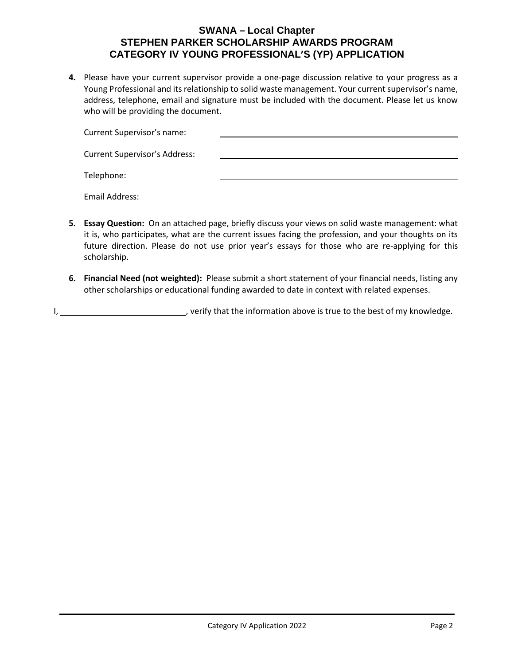**4.** Please have your current supervisor provide a one-page discussion relative to your progress as a Young Professional and its relationship to solid waste management. Your current supervisor's name, address, telephone, email and signature must be included with the document. Please let us know who will be providing the document.

| Current Supervisor's name:           |  |
|--------------------------------------|--|
| <b>Current Supervisor's Address:</b> |  |
| Telephone:                           |  |
| Email Address:                       |  |

- **5. Essay Question:** On an attached page, briefly discuss your views on solid waste management: what it is, who participates, what are the current issues facing the profession, and your thoughts on its future direction. Please do not use prior year's essays for those who are re-applying for this scholarship.
- **6. Financial Need (not weighted):** Please submit a short statement of your financial needs, listing any other scholarships or educational funding awarded to date in context with related expenses.

I, , verify that the information above is true to the best of my knowledge.